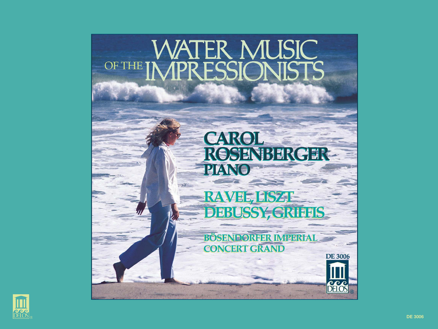

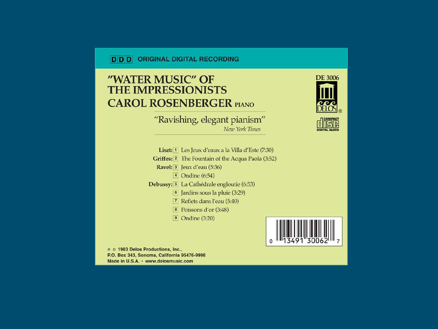### **D D D** ORIGINAL DIGITAL RECORDING

# "WATER MUSIC" OF **THE IMPRESSIONISTS CAROL ROSENBERGER PIANO**

"Ravishing, elegant pianism" New York Times

Liszt: 1 Les Jeux d'eaux a la Villa d'Este (7:30) Griffes: 2 The Fountain of the Acqua Paola (3:52) Ravel: 3 Jeux d'eau (5:36) 4 Ondine (6:54) Debussy: [5] La Cathédrale engloutie (6:53) 6 Jardins sous la pluie (3:29)  $\boxed{7}$  Reflets dans l'eau (5:40)  $\boxed{8}$  Poissons d'or (3:48)



@ © 1983 Delos Productions, Inc., P.O. Box 343, Sonoma, California 95476-9998 Made in U.S.A. · www.delosmusic.com



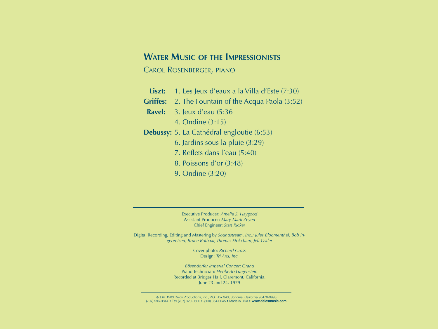## **WATER MUSIC OF THE IMPRESSIONISTS**

CAROL ROSENBERGER, PIANO

- Liszt: 1. Les Jeux d'eaux a la Villa d'Este (7:30)
- **Griffes:** 2. The Fountain of the Acqua Paola (3:52)
- **Ravel:** 3. Jeux d'eau (5:36
	- 4. Ondine (3:15)
- **Debussy:** 5. La Cathédral engloutie (6:53)
	- 6. Jardins sous la pluie (3:29)
	- 7. Reflets dans l'eau (5:40)
	- 8. Poissons d'or (3:48)
	- 9. Ondine (3:20)

Executive Producer: *Amelia S. Haygood* Assistant Producer: *Mary Mark Zeyen* Chief Engineer: *Stan Ricker*

Digital Recording, Editing and Mastering by *Soundstream, Inc.; Jules Bloomenthal, Bob Ingebretsen, Bruce Rothaar, Thomas Stokcham, Jeff Ostler*

> Cover photo: *Richard Gross* Design: *Tri Arts, Inc.*

*Bösendorfer Imperial Concert Grand* Piano Technician: *Heriberto Lurgenstein* Recorded at Bridges Hall, Claremont, California, June 23 and 24, 1979

7 & W 1983 Delos Productions, Inc., P.O. Box 343, Sonoma, California 95476-9998 (707) 996-3844 • Fax (707) 320-0600 • (800) 364-0645 • Made in USA • **www.delosmusic.com**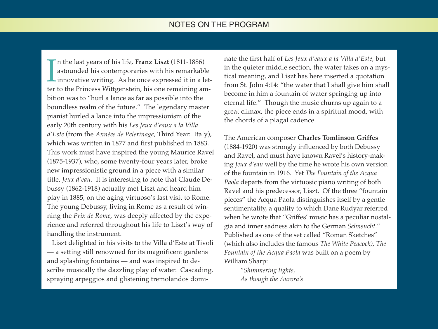## NOTES ON THE PROGRAM

 $\prod_{\text{ter}}$ n the last years of his life, **Franz Liszt** (1811-1886) astounded his contemporaries with his remarkable innovative writing. As he once expressed it in a letter to the Princess Wittgenstein, his one remaining ambition was to "hurl a lance as far as possible into the boundless realm of the future." The legendary master pianist hurled a lance into the impressionism of the early 20th century with his *Les Jeux d'eaux a la Villa d'Este* (from the *Années de Pelerinage,* Third Year: Italy), which was written in 1877 and first published in 1883. This work must have inspired the young Maurice Ravel (1875-1937), who, some twenty-four years later, broke new impressionistic ground in a piece with a similar title, *Jeux d'eau.* It is interesting to note that Claude Debussy (1862-1918) actually met Liszt and heard him play in 1885, on the aging virtuoso's last visit to Rome. The young Debussy, living in Rome as a result of winning the *Prix de Rome,* was deeply affected by the experience and referred throughout his life to Liszt's way of handling the instrument.

Liszt delighted in his visits to the Villa d'Este at Tivoli — a setting still renowned for its magnificent gardens and splashing fountains — and was inspired to describe musically the dazzling play of water. Cascading, spraying arpeggios and glistening tremolandos dominate the first half of *Les Jeux d'eaux a la Villa d'Este,* but in the quieter middle section, the water takes on a mystical meaning, and Liszt has here inserted a quotation from St. John 4:14: "the water that I shall give him shall become in him a fountain of water springing up into eternal life." Though the music churns up again to a great climax, the piece ends in a spiritual mood, with the chords of a plagal cadence.

The American composer **Charles Tomlinson Griffes** (1884-1920) was strongly influenced by both Debussy and Ravel, and must have known Ravel's history-making *Jeux d'eau* well by the time he wrote his own version of the fountain in 1916. Yet *The Fountain of the Acqua Paola* departs from the virtuosic piano writing of both Ravel and his predecessor, Liszt. Of the three "fountain pieces" the Acqua Paola distinguishes itself by a gentle sentimentality, a quality to which Dane Rudyar referred when he wrote that "Griffes' music has a peculiar nostalgia and inner sadness akin to the German *Sehnsucht.*" Published as one of the set called "Roman Sketches" (which also includes the famous *The White Peacock), The Fountain of the Acqua Paola* was built on a poem by William Sharp:

*"Shimmering lights, As though the Aurora's*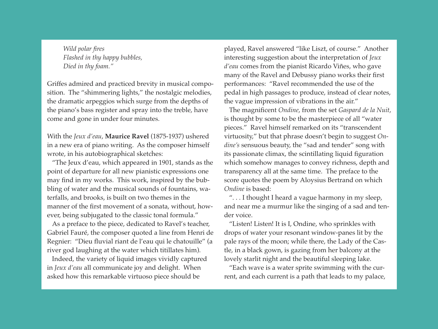*Wild polar fires Flashed in thy happy bubbles, Died in thy foam."*

Griffes admired and practiced brevity in musical composition. The "shimmering lights," the nostalgic melodies, the dramatic arpeggios which surge from the depths of the piano's bass register and spray into the treble, have come and gone in under four minutes.

With the *Jeux d'eau*, **Maurice Ravel** (1875-1937) ushered in a new era of piano writing. As the composer himself wrote, in his autobiographical sketches:

"The Jeux d'eau, which appeared in 1901, stands as the point of departure for all new pianistic expressions one may find in my works. This work, inspired by the bubbling of water and the musical sounds of fountains, waterfalls, and brooks, is built on two themes in the manner of the first movement of a sonata, without, however, being subjugated to the classic tonal formula."

As a preface to the piece, dedicated to Ravel's teacher, Gabriel Fauré, the composer quoted a line from Henri de Regnier: "Dieu fluvial riant de l'eau qui le chatouille" (a river god laughing at the water which titillates him).

Indeed, the variety of liquid images vividly captured in *Jeux d'eau* all communicate joy and delight. When asked how this remarkable virtuoso piece should be

played, Ravel answered "like Liszt, of course." Another interesting suggestion about the interpretation of *Jeux d'eau* comes from the pianist Ricardo Viñes, who gave many of the Ravel and Debussy piano works their first performances: "Ravel recommended the use of the pedal in high passages to produce, instead of clear notes, the vague impression of vibrations in the air."

The magnificent *Ondine*, from the set *Gaspard de la Nuit*, is thought by some to be the masterpiece of all "water pieces." Ravel himself remarked on its "transcendent virtuosity," but that phrase doesn't begin to suggest *Ondine's* sensuous beauty, the "sad and tender" song with its passionate climax, the scintillating liquid figuration which somehow manages to convey richness, depth and transparency all at the same time. The preface to the score quotes the poem by Aloysius Bertrand on which *Ondine* is based:

". . . I thought I heard a vague harmony in my sleep, and near me a murmur like the singing of a sad and tender voice.

"Listen! Listen! It is I, Ondine, who sprinkles with drops of water your resonant window-panes lit by the pale rays of the moon; while there, the Lady of the Castle, in a black gown, is gazing from her balcony at the lovely starlit night and the beautiful sleeping lake.

"Each wave is a water sprite swimming with the current, and each current is a path that leads to my palace,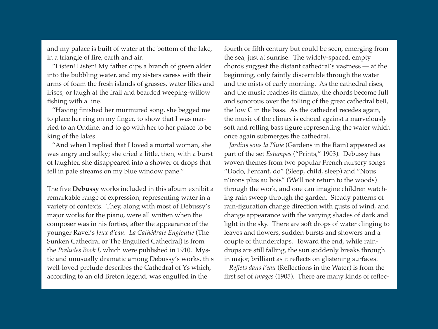and my palace is built of water at the bottom of the lake, in a triangle of fire, earth and air.

"Listen! Listen! My father dips a branch of green alder into the bubbling water, and my sisters caress with their arms of foam the fresh islands of grasses, water lilies and irises, or laugh at the frail and bearded weeping-willow fishing with a line.

"Having finished her murmured song, she begged me to place her ring on my finger, to show that I was married to an Ondine, and to go with her to her palace to be king of the lakes.

"And when I replied that I loved a mortal woman, she was angry and sulky; she cried a little, then, with a burst of laughter, she disappeared into a shower of drops that fell in pale streams on my blue window pane."

The five **Debussy** works included in this album exhibit a remarkable range of expression, representing water in a variety of contexts. They, along with most of Debussy's major works for the piano, were all written when the composer was in his forties, after the appearance of the younger Ravel's *Jeux d'eau. La Cathédrale Engloutie* (The Sunken Cathedral or The Engulfed Cathedral) is from the *Preludes Book I*, which were published in 1910. Mystic and unusually dramatic among Debussy's works, this well-loved prelude describes the Cathedral of Ys which, according to an old Breton legend, was engulfed in the

fourth or fifth century but could be seen, emerging from the sea, just at sunrise. The widely-spaced, empty chords suggest the distant cathedral's vastness — at the beginning, only faintly discernible through the water and the mists of early morning. As the cathedral rises, and the music reaches its climax, the chords become full and sonorous over the tolling of the great cathedral bell, the low C in the bass. As the cathedral recedes again, the music of the climax is echoed against a marvelously soft and rolling bass figure representing the water which once again submerges the cathedral.

*Jardins sous la Pluie* (Gardens in the Rain) appeared as part of the set *Estampes* ("Prints," 1903). Debussy has woven themes from two popular French nursery songs "Dodo, l'enfant, do" (Sleep, child, sleep) and "Nous n'irons plus au bois" (We'll not return to the woods) through the work, and one can imagine children watching rain sweep through the garden. Steady patterns of rain-figuration change direction with gusts of wind, and change appearance with the varying shades of dark and light in the sky. There are soft drops of water clinging to leaves and flowers, sudden bursts and showers and a couple of thunderclaps. Toward the end, while raindrops are still falling, the sun suddenly breaks through in major, brilliant as it reflects on glistening surfaces.

*Reflets dans l'eau* (Reflections in the Water) is from the first set of *Images* (1905). There are many kinds of reflec